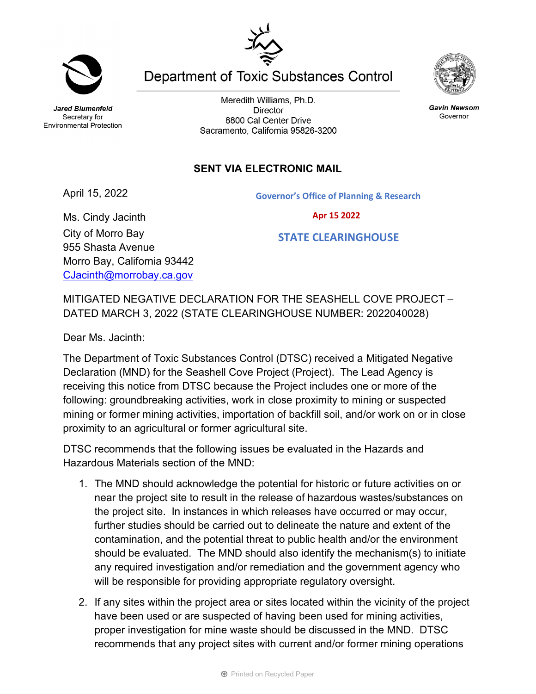Meredith Williams, Ph.D. **Director** 8800 Cal Center Drive Sacramento, California 95826-3200

## **SENT VIA ELECTRONIC MAIL**

April 15, 2022

Ms. Cindy Jacinth City of Morro Bay 955 Shasta Avenue

Morro Bay, California 93442 [CJacinth@morrobay.ca.gov](mailto:CJacinth@morrobay.ca.gov)

MITIGATED NEGATIVE DECLARATION FOR THE SEASHELL COVE PROJECT – DATED MARCH 3, 2022 (STATE CLEARINGHOUSE NUMBER: 2022040028)

Dear Ms. Jacinth:

The Department of Toxic Substances Control (DTSC) received a Mitigated Negative Declaration (MND) for the Seashell Cove Project (Project). The Lead Agency is receiving this notice from DTSC because the Project includes one or more of the following: groundbreaking activities, work in close proximity to mining or suspected mining or former mining activities, importation of backfill soil, and/or work on or in close proximity to an agricultural or former agricultural site.

DTSC recommends that the following issues be evaluated in the Hazards and Hazardous Materials section of the MND:

- 1. The MND should acknowledge the potential for historic or future activities on or near the project site to result in the release of hazardous wastes/substances on the project site. In instances in which releases have occurred or may occur, further studies should be carried out to delineate the nature and extent of the contamination, and the potential threat to public health and/or the environment should be evaluated. The MND should also identify the mechanism(s) to initiate any required investigation and/or remediation and the government agency who will be responsible for providing appropriate regulatory oversight.
- 2. If any sites within the project area or sites located within the vicinity of the project have been used or are suspected of having been used for mining activities, proper investigation for mine waste should be discussed in the MND. DTSC recommends that any project sites with current and/or former mining operations

**Department of Toxic Substances Control** 

**Jared Blumenfeld** Secretary for **Environmental Protection** 

**Gavin Newsom** Governor



**Governor's Office of Planning & Research**

 **Apr 15 2022**

 **STATE CLEARINGHOUSE**